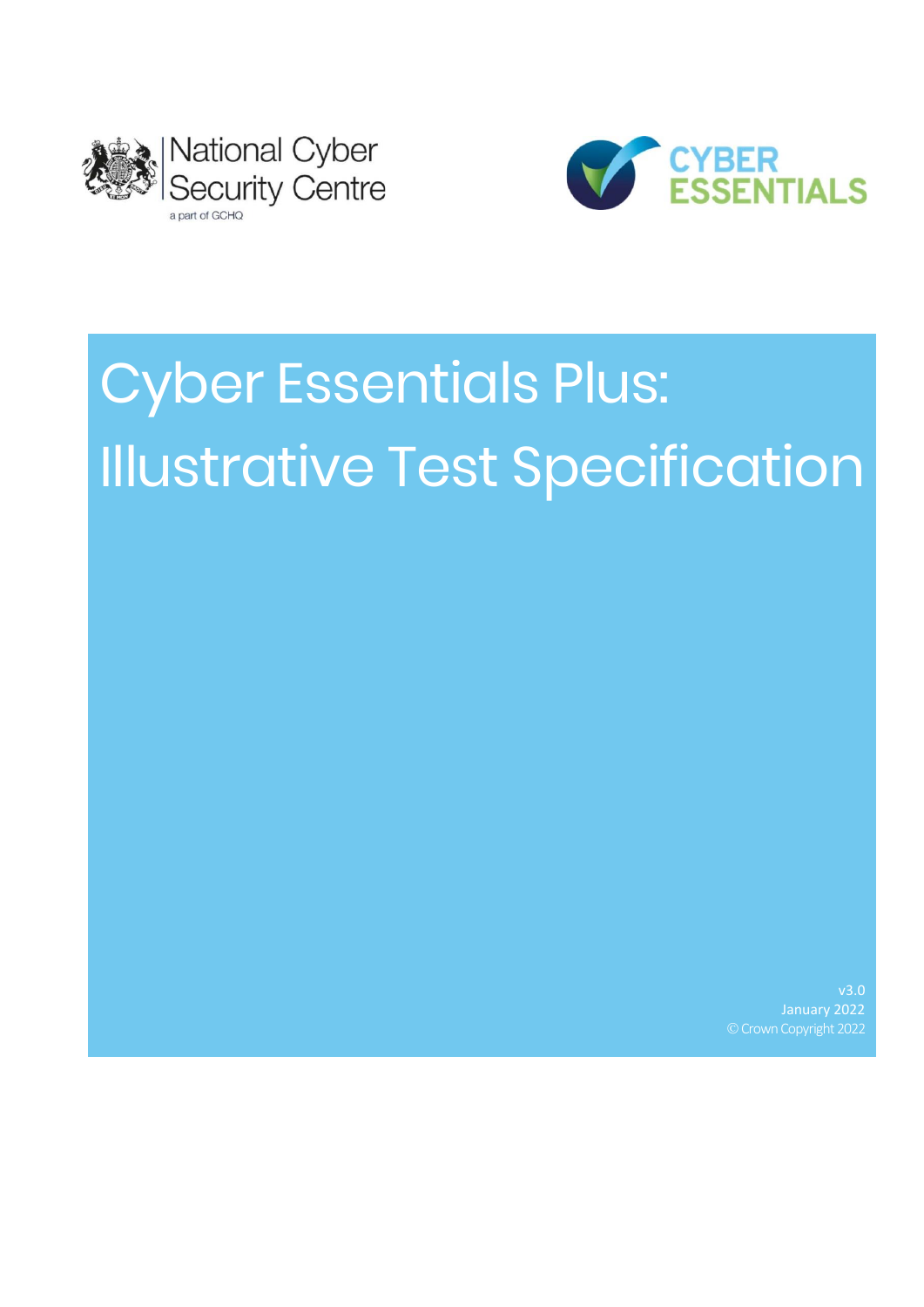



# Cyber Essentials Plus: Illustrative Test Specification

v3.0 January 2022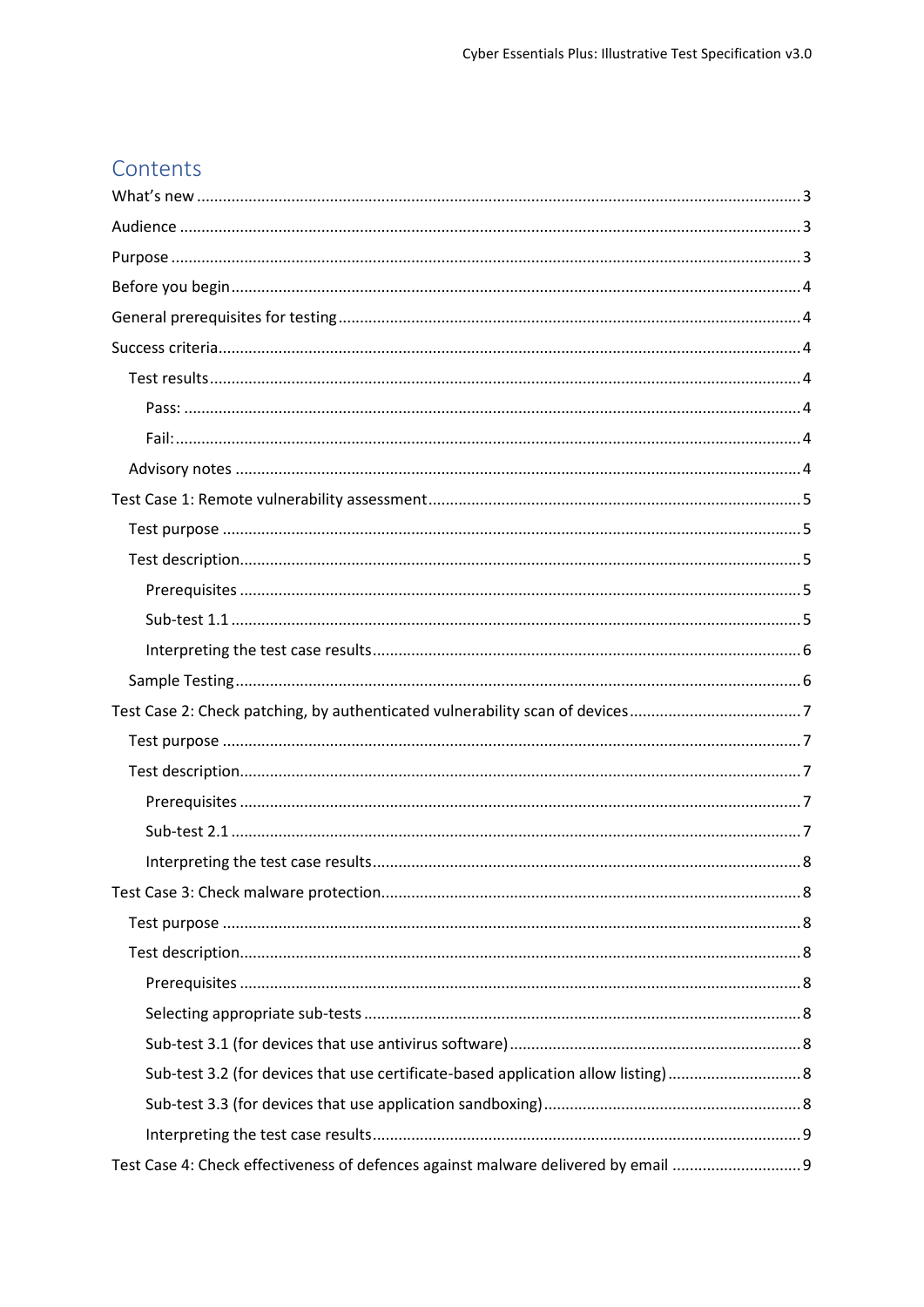# Contents

| Test Case 2: Check patching, by authenticated vulnerability scan of devices7    |  |
|---------------------------------------------------------------------------------|--|
|                                                                                 |  |
|                                                                                 |  |
|                                                                                 |  |
|                                                                                 |  |
|                                                                                 |  |
|                                                                                 |  |
|                                                                                 |  |
|                                                                                 |  |
|                                                                                 |  |
|                                                                                 |  |
|                                                                                 |  |
|                                                                                 |  |
|                                                                                 |  |
|                                                                                 |  |
| Test Case 4: Check effectiveness of defences against malware delivered by email |  |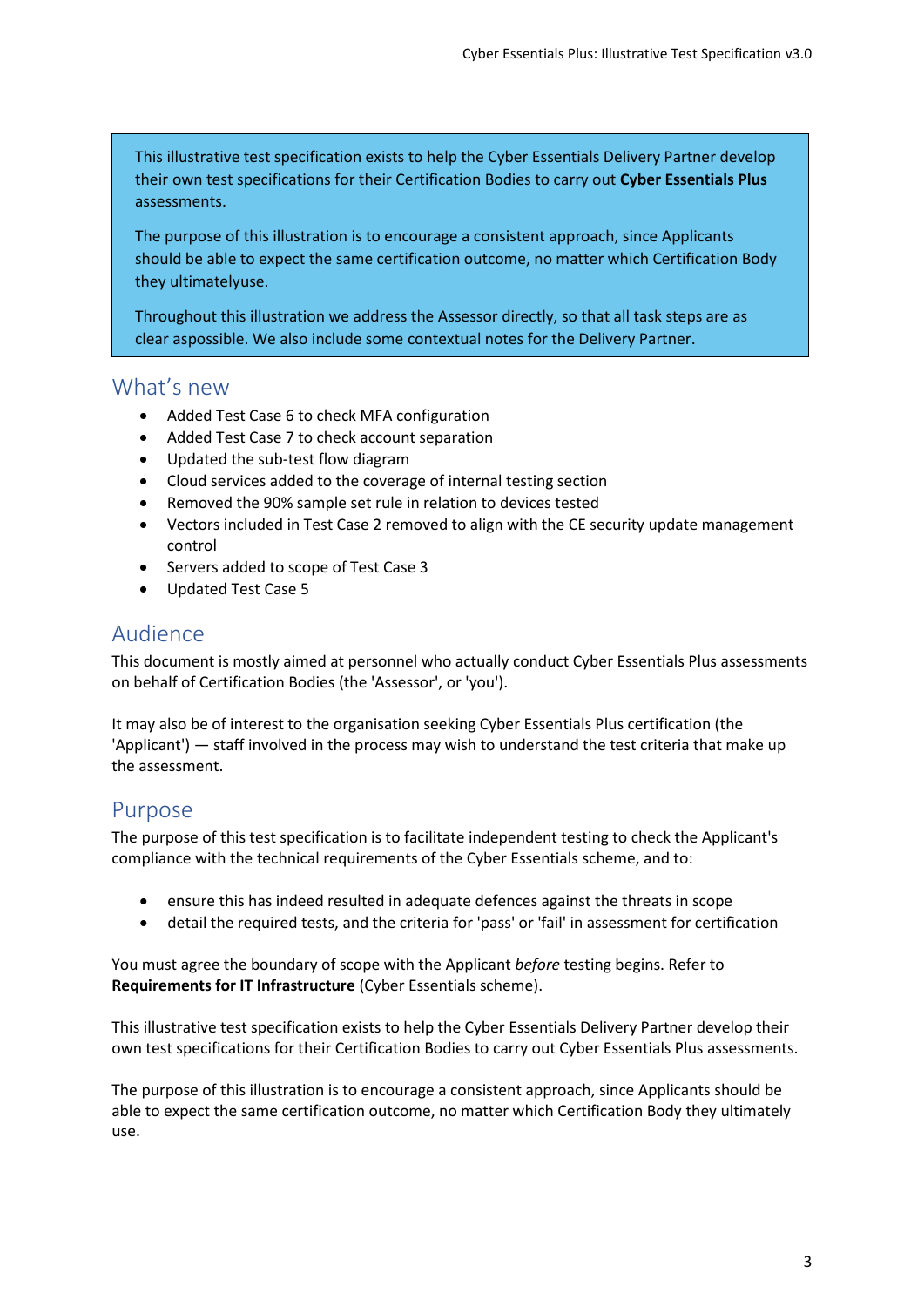This illustrative test specification exists to help the Cyber Essentials Delivery Partner develop their own test specifications for their Certification Bodies to carry out **Cyber Essentials Plus** assessments.

The purpose of this illustration is to encourage a consistent approach, since Applicants should be able to expect the same certification outcome, no matter which Certification Body they ultimatelyuse.

Throughout this illustration we address the Assessor directly, so that all task steps are as clear aspossible. We also include some contextual notes for the Delivery Partner.

# <span id="page-3-0"></span>What's new

- Added Test Case 6 to check MFA configuration
- Added Test Case 7 to check account separation
- Updated the sub-test flow diagram
- Cloud services added to the coverage of internal testing section
- Removed the 90% sample set rule in relation to devices tested
- Vectors included in Test Case 2 removed to align with the CE security update management control
- Servers added to scope of Test Case 3
- Updated Test Case 5

# <span id="page-3-1"></span>Audience

This document is mostly aimed at personnel who actually conduct Cyber Essentials Plus assessments on behalf of Certification Bodies (the 'Assessor', or 'you').

It may also be of interest to the organisation seeking Cyber Essentials Plus certification (the 'Applicant') — staff involved in the process may wish to understand the test criteria that make up the assessment.

# <span id="page-3-2"></span>Purpose

The purpose of this test specification is to facilitate independent testing to check the Applicant's compliance with the technical requirements of the Cyber Essentials scheme, and to:

- ensure this has indeed resulted in adequate defences against the threats in scope
- detail the required tests, and the criteria for 'pass' or 'fail' in assessment for certification

You must agree the boundary of scope with the Applicant *before* testing begins. Refer to **Requirements for IT Infrastructure** (Cyber Essentials scheme).

This illustrative test specification exists to help the Cyber Essentials Delivery Partner develop their own test specifications for their Certification Bodies to carry out Cyber Essentials Plus assessments.

The purpose of this illustration is to encourage a consistent approach, since Applicants should be able to expect the same certification outcome, no matter which Certification Body they ultimately use.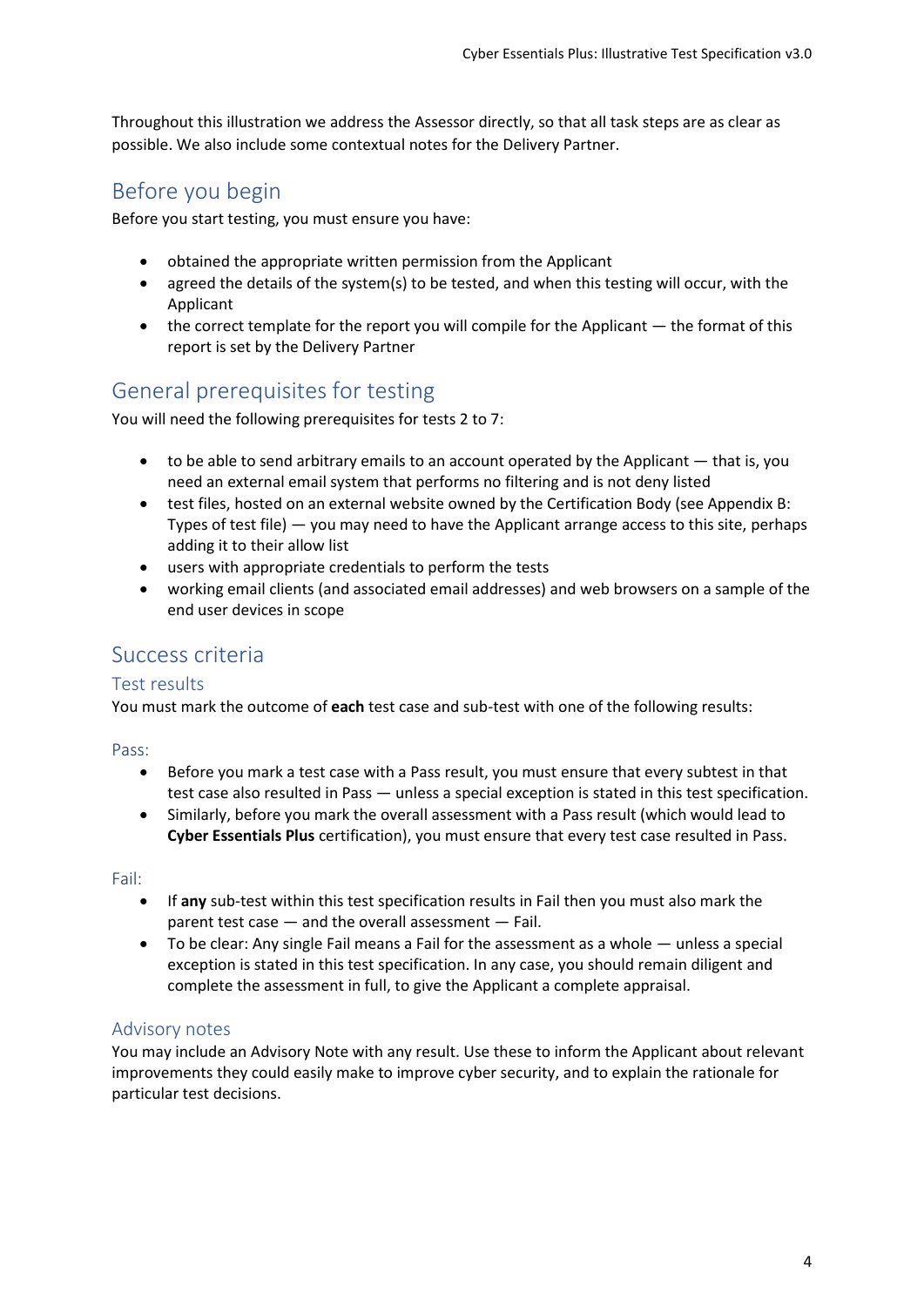Throughout this illustration we address the Assessor directly, so that all task steps are as clear as possible. We also include some contextual notes for the Delivery Partner.

# <span id="page-4-0"></span>Before you begin

Before you start testing, you must ensure you have:

- obtained the appropriate written permission from the Applicant
- agreed the details of the system(s) to be tested, and when this testing will occur, with the Applicant
- the correct template for the report you will compile for the Applicant the format of this report is set by the Delivery Partner

# <span id="page-4-1"></span>General prerequisites for testing

You will need the following prerequisites for tests 2 to 7:

- $\bullet$  to be able to send arbitrary emails to an account operated by the Applicant  $-$  that is, you need an external email system that performs no filtering and is not deny listed
- [test files, hosted on an external website owned by the Certification Body \(see Appendix B:](#page-13-2)  Types of test file) — you may need to have the Applicant arrange access to this site, perhaps adding it to their allow list
- users with appropriate credentials to perform the tests
- working email clients (and associated email addresses) and web browsers on a sample of the end user devices in scope

# <span id="page-4-2"></span>Success criteria

## <span id="page-4-3"></span>Test results

You must mark the outcome of **each** test case and sub-test with one of the following results:

<span id="page-4-4"></span>Pass:

- Before you mark a test case with a Pass result, you must ensure that every subtest in that test case also resulted in Pass — unless a special exception is stated in this test specification.
- Similarly, before you mark the overall assessment with a Pass result (which would lead to **Cyber Essentials Plus** certification), you must ensure that every test case resulted in Pass.

<span id="page-4-5"></span>Fail:

- If **any** sub-test within this test specification results in Fail then you must also mark the parent test case — and the overall assessment — Fail.
- To be clear: Any single Fail means a Fail for the assessment as a whole unless a special exception is stated in this test specification. In any case, you should remain diligent and complete the assessment in full, to give the Applicant a complete appraisal.

## <span id="page-4-6"></span>Advisory notes

You may include an Advisory Note with any result. Use these to inform the Applicant about relevant improvements they could easily make to improve cyber security, and to explain the rationale for particular test decisions.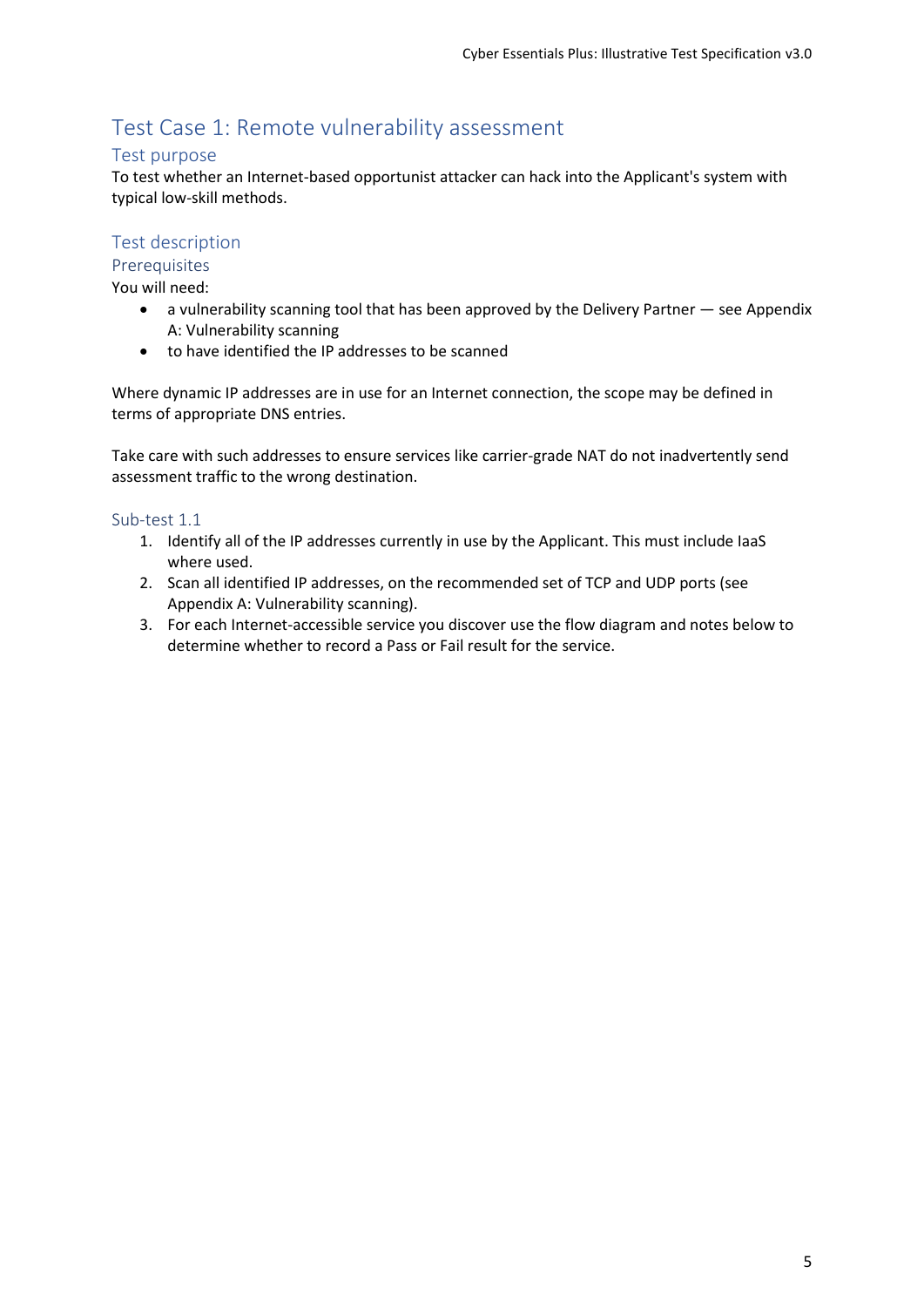# <span id="page-5-0"></span>Test Case 1: Remote vulnerability assessment

## <span id="page-5-1"></span>Test purpose

To test whether an Internet-based opportunist attacker can hack into the Applicant's system with typical low-skill methods.

# <span id="page-5-2"></span>Test description

<span id="page-5-3"></span>**Prerequisites** 

You will need:

- [a vulnerability scanning tool that has been approved by the Delivery Partner](#page-13-2)  see Appendix A: Vulnerability scanning
- to have identified the IP addresses to be scanned

Where dynamic IP addresses are in use for an Internet connection, the scope may be defined in terms of appropriate DNS entries.

Take care with such addresses to ensure services like carrier-grade NAT do not inadvertently send assessment traffic to the wrong destination.

#### <span id="page-5-4"></span>Sub-test 1.1

- 1. Identify all of the IP addresses currently in use by the Applicant. This must include IaaS where used.
- 2. Scan all identified IP addresses, on the recommended set of TCP and UDP ports (see [Appendix A: Vulnerability scanning](#page-13-2)).
- 3. For each Internet-accessible service you discover use the flow diagram and notes below to determine whether to record a Pass or Fail result for the service.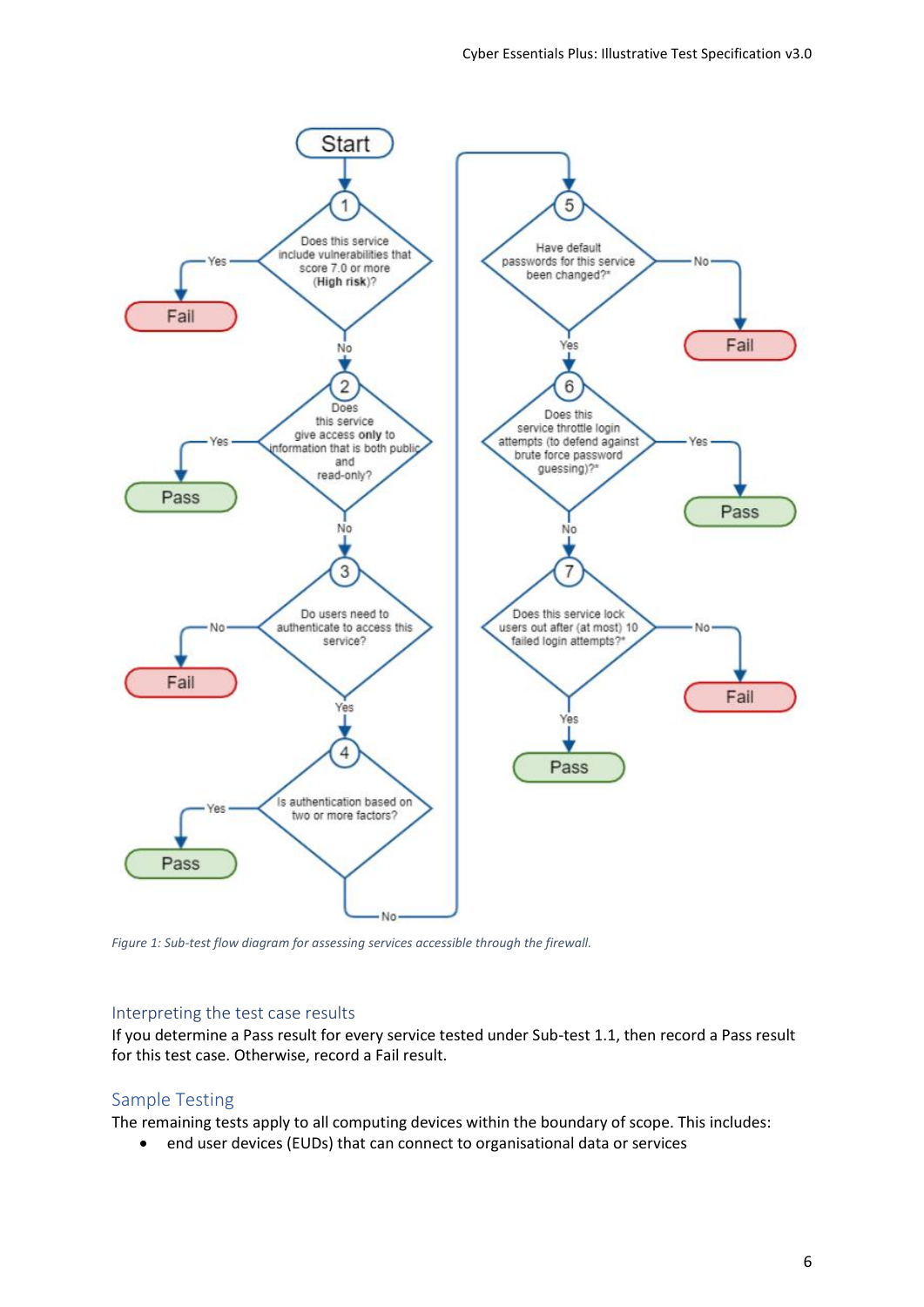

*Figure 1: Sub-test flow diagram for assessing services accessible through the firewall.*

#### <span id="page-6-0"></span>Interpreting the test case results

If you determine a Pass result for every service tested under Sub-test 1.1, then record a Pass result for this test case. Otherwise, record a Fail result.

## <span id="page-6-1"></span>Sample Testing

The remaining tests apply to all computing devices within the boundary of scope. This includes:

• end user devices (EUDs) that can connect to organisational data or services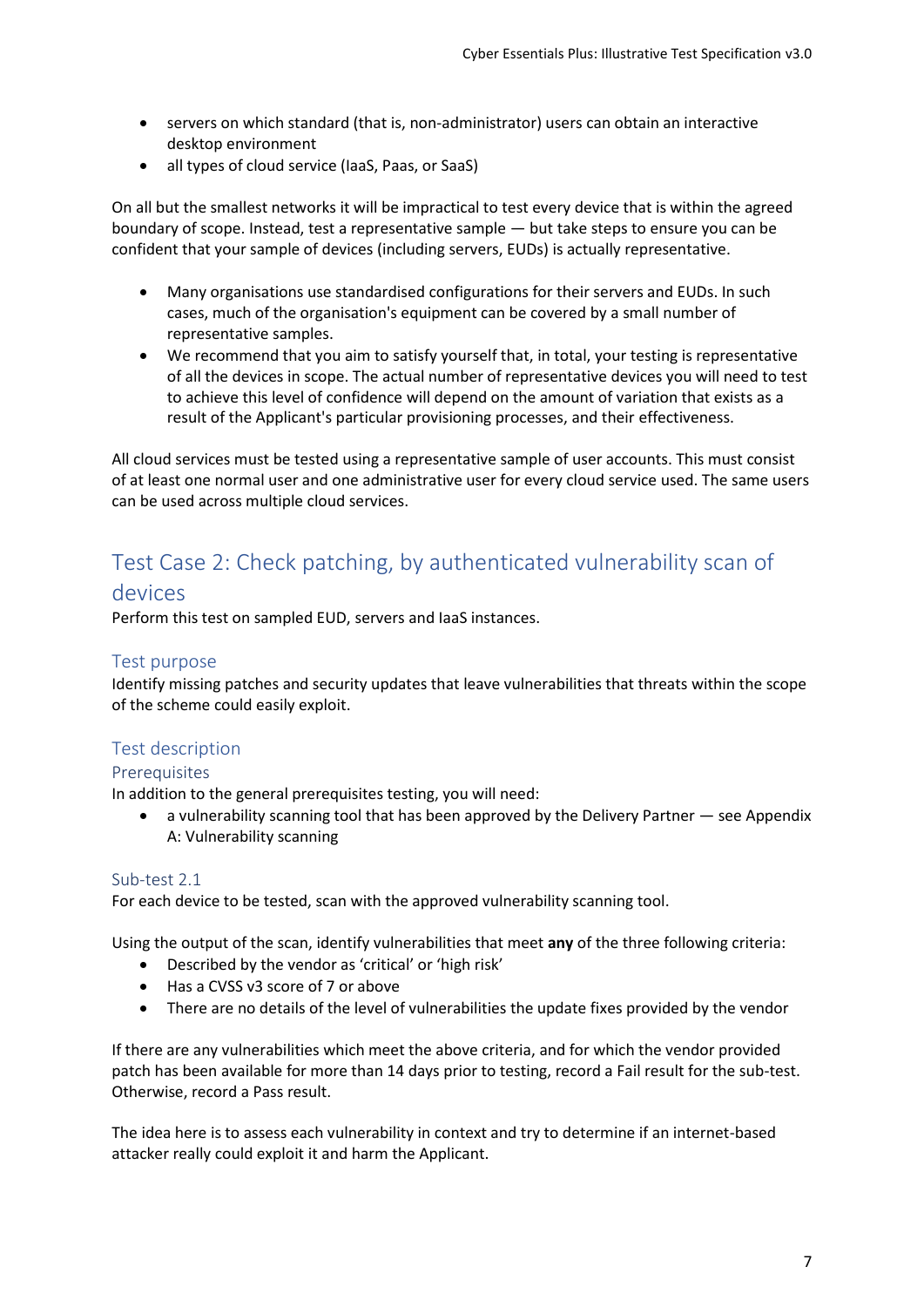- servers on which standard (that is, non-administrator) users can obtain an interactive desktop environment
- all types of cloud service (IaaS, Paas, or SaaS)

On all but the smallest networks it will be impractical to test every device that is within the agreed boundary of scope. Instead, test a representative sample — but take steps to ensure you can be confident that your sample of devices (including servers, EUDs) is actually representative.

- Many organisations use standardised configurations for their servers and EUDs. In such cases, much of the organisation's equipment can be covered by a small number of representative samples.
- We recommend that you aim to satisfy yourself that, in total, your testing is representative of all the devices in scope. The actual number of representative devices you will need to test to achieve this level of confidence will depend on the amount of variation that exists as a result of the Applicant's particular provisioning processes, and their effectiveness.

All cloud services must be tested using a representative sample of user accounts. This must consist of at least one normal user and one administrative user for every cloud service used. The same users can be used across multiple cloud services.

# <span id="page-7-0"></span>Test Case 2: Check patching, by authenticated vulnerability scan of devices

Perform this test on sampled EUD, servers and IaaS instances.

## <span id="page-7-1"></span>Test purpose

Identify missing patches and security updates that leave vulnerabilities that threats within the scope of the scheme could easily exploit.

# <span id="page-7-2"></span>Test description

## <span id="page-7-3"></span>Prerequisites

In addition to the general prerequisites testing, you will need:

• [a vulnerability scanning tool that has been approved by the Delivery Partner](#page-13-2) — see Appendix A: Vulnerability scanning

## <span id="page-7-4"></span>Sub-test 2.1

For each device to be tested, scan with the approved vulnerability scanning tool.

Using the output of the scan, identify vulnerabilities that meet **any** of the three following criteria:

- Described by the vendor as 'critical' or 'high risk'
- Has a CVSS v3 score of 7 or above
- There are no details of the level of vulnerabilities the update fixes provided by the vendor

If there are any vulnerabilities which meet the above criteria, and for which the vendor provided patch has been available for more than 14 days prior to testing, record a Fail result for the sub-test. Otherwise, record a Pass result.

The idea here is to assess each vulnerability in context and try to determine if an internet-based attacker really could exploit it and harm the Applicant.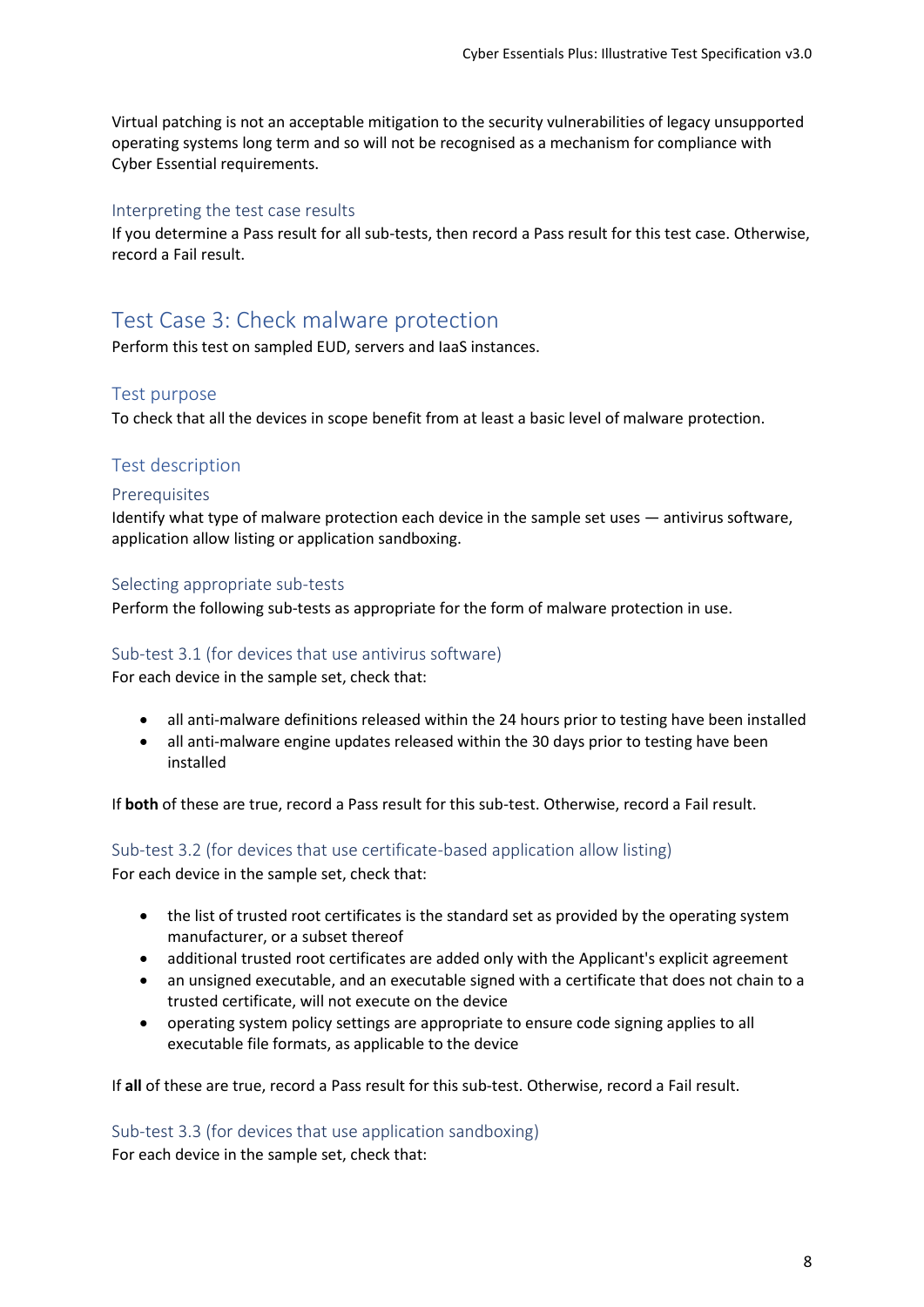Virtual patching is not an acceptable mitigation to the security vulnerabilities of legacy unsupported operating systems long term and so will not be recognised as a mechanism for compliance with Cyber Essential requirements.

#### <span id="page-8-0"></span>Interpreting the test case results

If you determine a Pass result for all sub-tests, then record a Pass result for this test case. Otherwise, record a Fail result.

# <span id="page-8-1"></span>Test Case 3: Check malware protection

Perform this test on sampled EUD, servers and IaaS instances.

## <span id="page-8-2"></span>Test purpose

To check that all the devices in scope benefit from at least a basic level of malware protection.

## <span id="page-8-3"></span>Test description

#### <span id="page-8-4"></span>Prerequisites

Identify what type of malware protection each device in the sample set uses — antivirus software, application allow listing or application sandboxing.

#### <span id="page-8-5"></span>Selecting appropriate sub-tests

Perform the following sub-tests as appropriate for the form of malware protection in use.

#### <span id="page-8-6"></span>Sub-test 3.1 (for devices that use antivirus software)

For each device in the sample set, check that:

- all anti-malware definitions released within the 24 hours prior to testing have been installed
- all anti-malware engine updates released within the 30 days prior to testing have been installed

If **both** of these are true, record a Pass result for this sub-test. Otherwise, record a Fail result.

# <span id="page-8-7"></span>Sub-test 3.2 (for devices that use certificate-based application allow listing)

For each device in the sample set, check that:

- the list of trusted root certificates is the standard set as provided by the operating system manufacturer, or a subset thereof
- additional trusted root certificates are added only with the Applicant's explicit agreement
- an unsigned executable, and an executable signed with a certificate that does not chain to a trusted certificate, will not execute on the device
- operating system policy settings are appropriate to ensure code signing applies to all executable file formats, as applicable to the device

If **all** of these are true, record a Pass result for this sub-test. Otherwise, record a Fail result.

#### <span id="page-8-8"></span>Sub-test 3.3 (for devices that use application sandboxing)

For each device in the sample set, check that: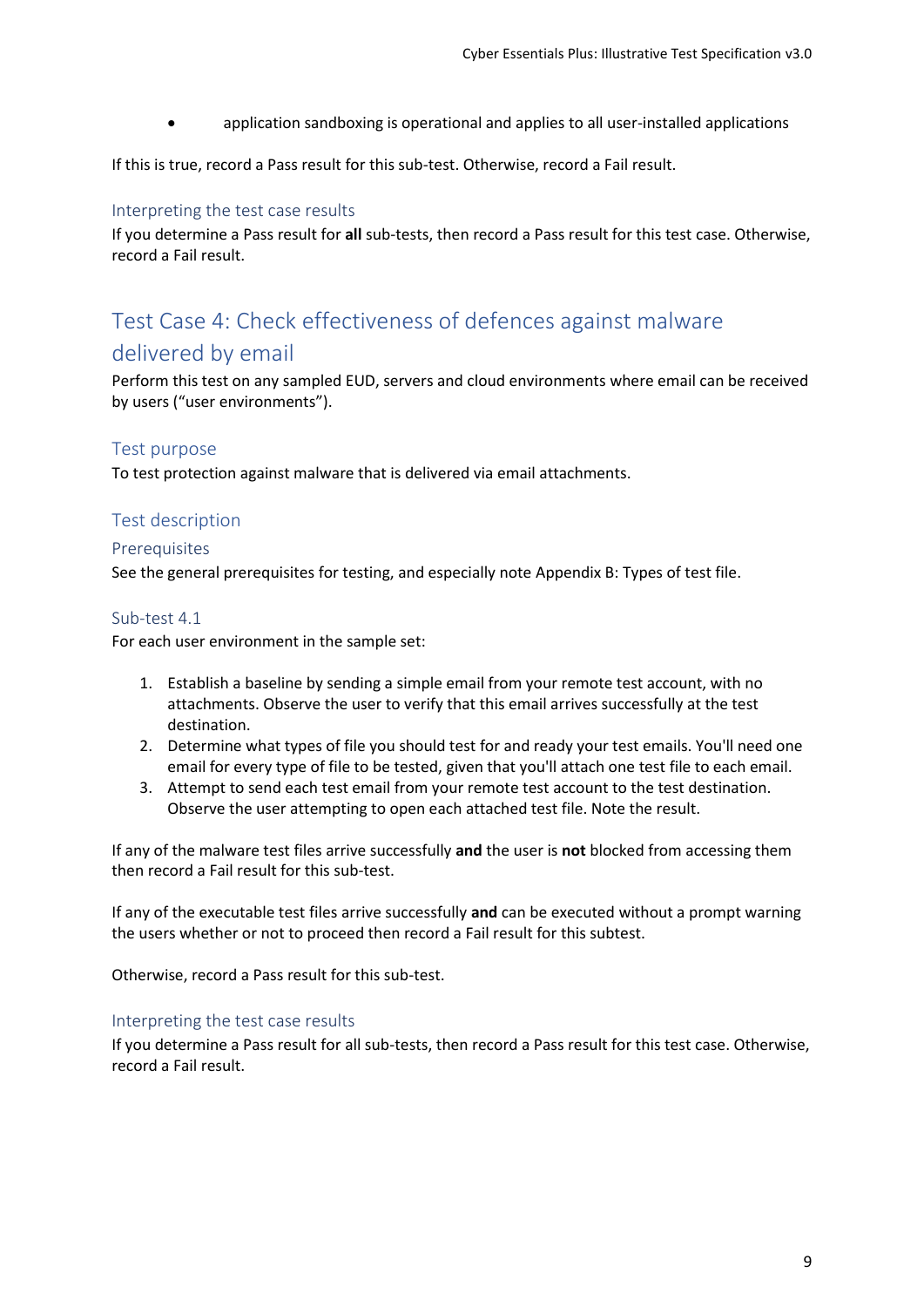• application sandboxing is operational and applies to all user-installed applications

If this is true, record a Pass result for this sub-test. Otherwise, record a Fail result.

#### <span id="page-9-0"></span>Interpreting the test case results

If you determine a Pass result for **all** sub-tests, then record a Pass result for this test case. Otherwise, record a Fail result.

# <span id="page-9-1"></span>Test Case 4: Check effectiveness of defences against malware delivered by email

Perform this test on any sampled EUD, servers and cloud environments where email can be received by users ("user environments").

## <span id="page-9-2"></span>Test purpose

To test protection against malware that is delivered via email attachments.

## <span id="page-9-3"></span>Test description

#### <span id="page-9-4"></span>Prerequisites

See the general prerequisites for testing, and especially note [Appendix B: Types of test file.](#page-13-2)

#### <span id="page-9-5"></span>Sub-test 4.1

For each user environment in the sample set:

- 1. Establish a baseline by sending a simple email from your remote test account, with no attachments. Observe the user to verify that this email arrives successfully at the test destination.
- 2. Determine what types of file you should test for and ready your test emails. You'll need one email for every type of file to be tested, given that you'll attach one test file to each email.
- 3. Attempt to send each test email from your remote test account to the test destination. Observe the user attempting to open each attached test file. Note the result.

If any of the malware test files arrive successfully **and** the user is **not** blocked from accessing them then record a Fail result for this sub-test.

If any of the executable test files arrive successfully **and** can be executed without a prompt warning the users whether or not to proceed then record a Fail result for this subtest.

Otherwise, record a Pass result for this sub-test.

#### <span id="page-9-6"></span>Interpreting the test case results

If you determine a Pass result for all sub-tests, then record a Pass result for this test case. Otherwise, record a Fail result.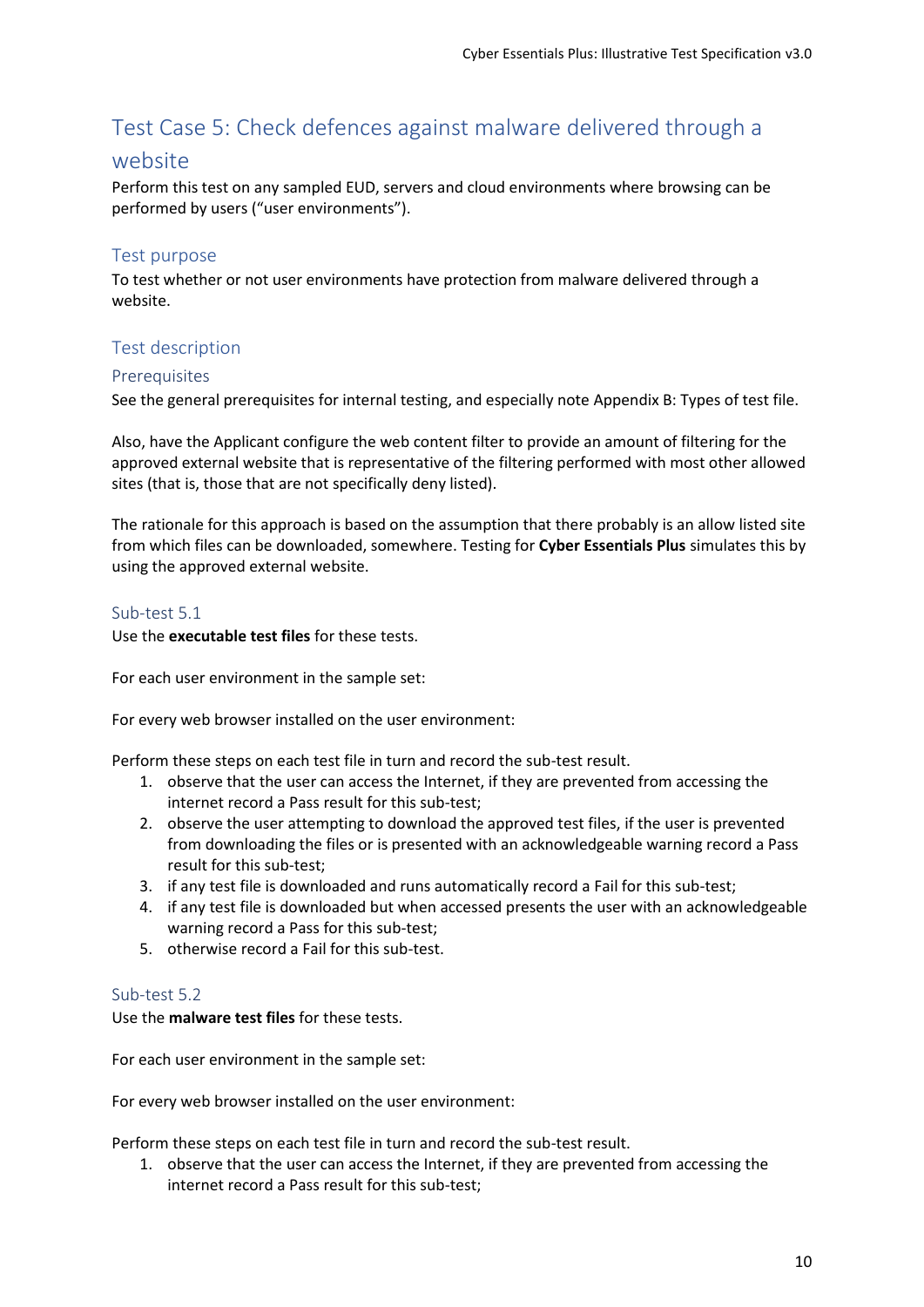# <span id="page-10-0"></span>Test Case 5: Check defences against malware delivered through a

# website

Perform this test on any sampled EUD, servers and cloud environments where browsing can be performed by users ("user environments").

# <span id="page-10-1"></span>Test purpose

To test whether or not user environments have protection from malware delivered through a website.

# <span id="page-10-2"></span>Test description

## <span id="page-10-3"></span>**Prerequisites**

See the general prerequisites for internal testing, and especially note [Appendix B: Types of test file](#page-13-2).

Also, have the Applicant configure the web content filter to provide an amount of filtering for the approved external website that is representative of the filtering performed with most other allowed sites (that is, those that are not specifically deny listed).

The rationale for this approach is based on the assumption that there probably is an allow listed site from which files can be downloaded, somewhere. Testing for **Cyber Essentials Plus** simulates this by using the approved external website.

#### <span id="page-10-4"></span>Sub-test 5.1

Use the **executable test files** for these tests.

For each user environment in the sample set:

For every web browser installed on the user environment:

Perform these steps on each test file in turn and record the sub-test result.

- 1. observe that the user can access the Internet, if they are prevented from accessing the internet record a Pass result for this sub-test;
- 2. observe the user attempting to download the approved test files, if the user is prevented from downloading the files or is presented with an acknowledgeable warning record a Pass result for this sub-test;
- 3. if any test file is downloaded and runs automatically record a Fail for this sub-test;
- 4. if any test file is downloaded but when accessed presents the user with an acknowledgeable warning record a Pass for this sub-test;
- 5. otherwise record a Fail for this sub-test.

## <span id="page-10-5"></span>Sub-test 5.2

Use the **malware test files** for these tests.

For each user environment in the sample set:

For every web browser installed on the user environment:

Perform these steps on each test file in turn and record the sub-test result.

1. observe that the user can access the Internet, if they are prevented from accessing the internet record a Pass result for this sub-test;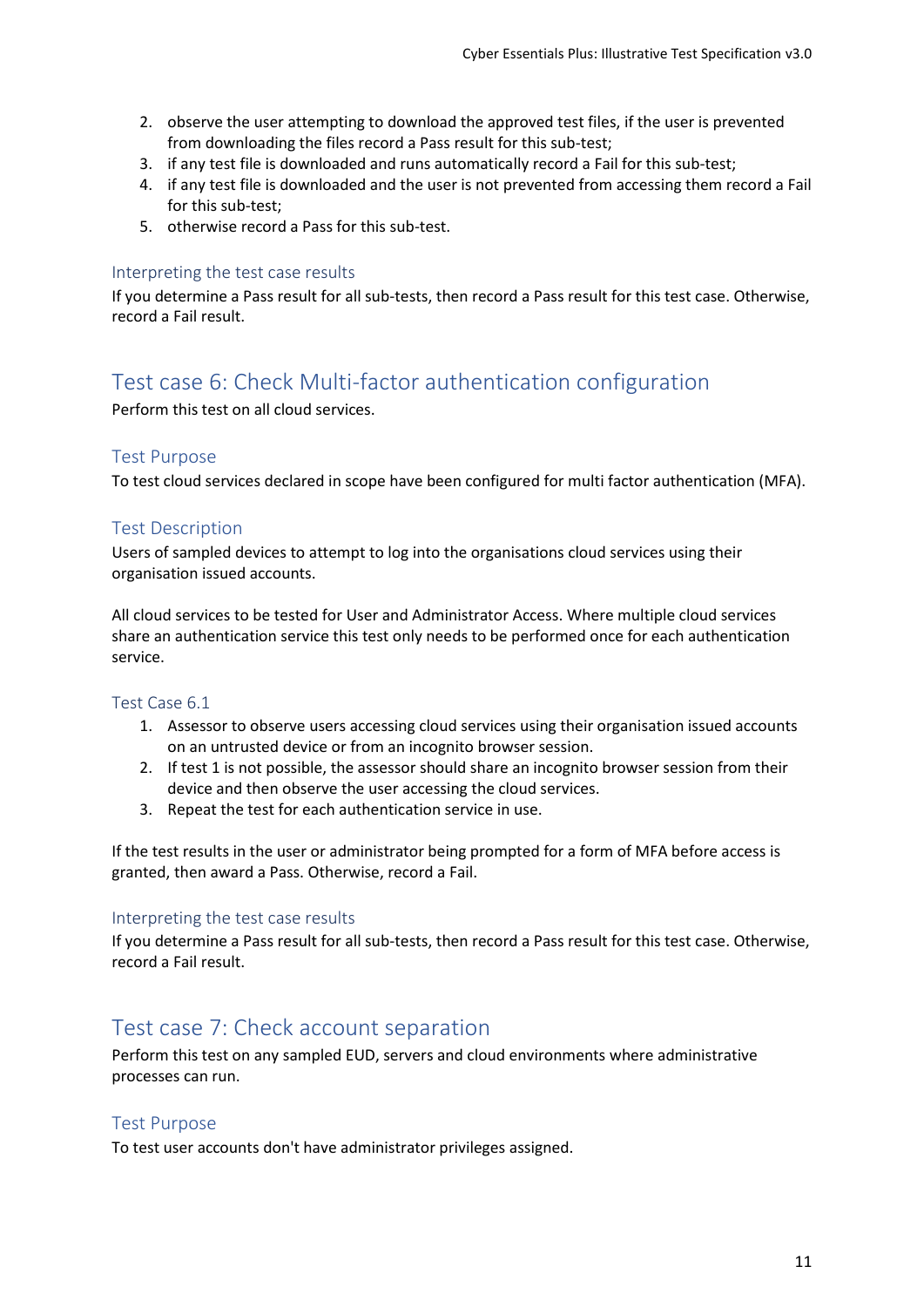- 2. observe the user attempting to download the approved test files, if the user is prevented from downloading the files record a Pass result for this sub-test;
- 3. if any test file is downloaded and runs automatically record a Fail for this sub-test;
- 4. if any test file is downloaded and the user is not prevented from accessing them record a Fail for this sub-test;
- 5. otherwise record a Pass for this sub-test.

#### <span id="page-11-0"></span>Interpreting the test case results

If you determine a Pass result for all sub-tests, then record a Pass result for this test case. Otherwise, record a Fail result.

# <span id="page-11-1"></span>Test case 6: Check Multi-factor authentication configuration

Perform this test on all cloud services.

#### <span id="page-11-2"></span>Test Purpose

To test cloud services declared in scope have been configured for multi factor authentication (MFA).

# <span id="page-11-3"></span>Test Description

Users of sampled devices to attempt to log into the organisations cloud services using their organisation issued accounts.

All cloud services to be tested for User and Administrator Access. Where multiple cloud services share an authentication service this test only needs to be performed once for each authentication service.

#### <span id="page-11-4"></span>Test Case 6.1

- 1. Assessor to observe users accessing cloud services using their organisation issued accounts on an untrusted device or from an incognito browser session.
- 2. If test 1 is not possible, the assessor should share an incognito browser session from their device and then observe the user accessing the cloud services.
- 3. Repeat the test for each authentication service in use.

If the test results in the user or administrator being prompted for a form of MFA before access is granted, then award a Pass. Otherwise, record a Fail.

#### <span id="page-11-5"></span>Interpreting the test case results

If you determine a Pass result for all sub-tests, then record a Pass result for this test case. Otherwise, record a Fail result.

# <span id="page-11-6"></span>Test case 7: Check account separation

Perform this test on any sampled EUD, servers and cloud environments where administrative processes can run.

## <span id="page-11-7"></span>Test Purpose

To test user accounts don't have administrator privileges assigned.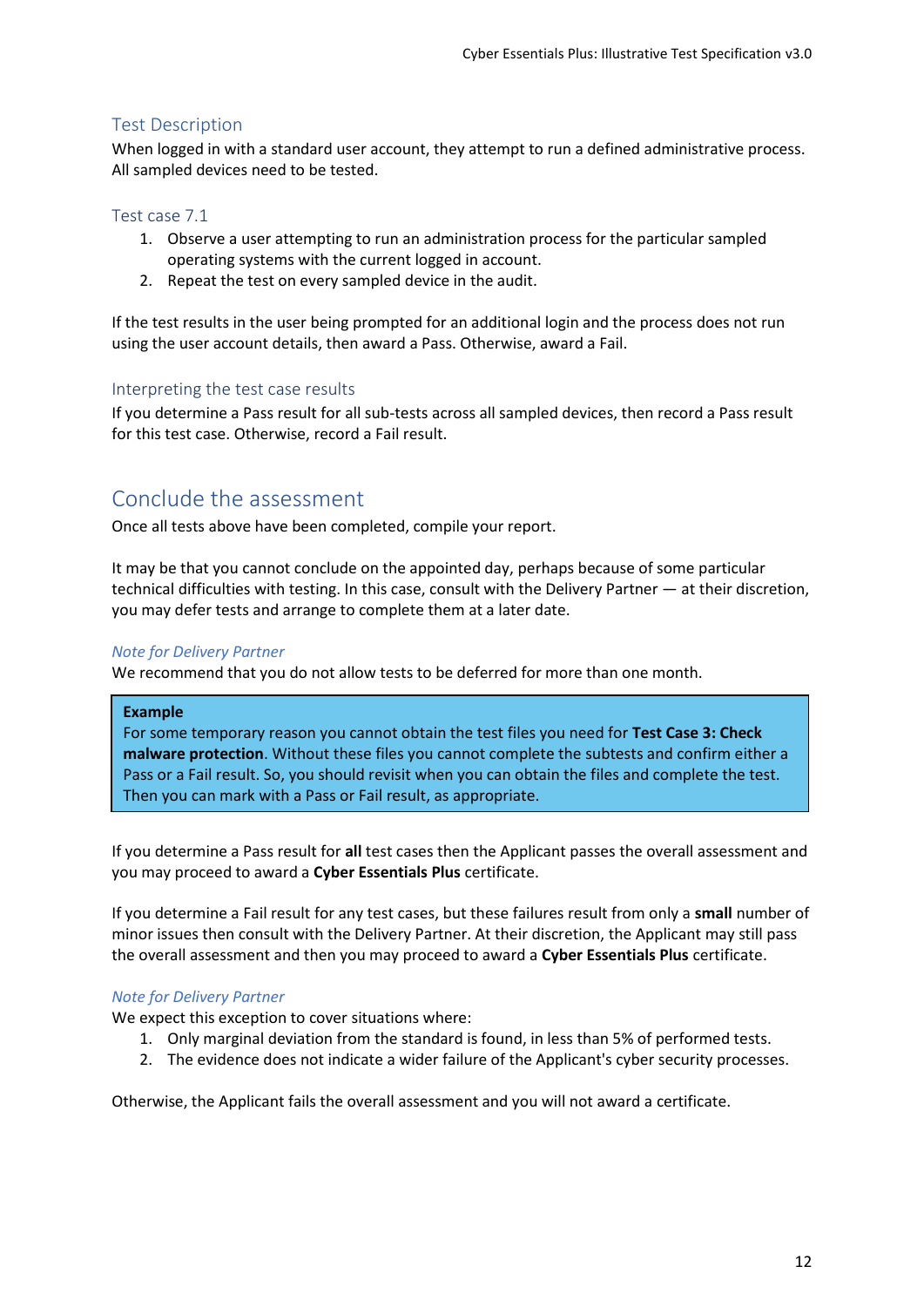## <span id="page-12-0"></span>Test Description

When logged in with a standard user account, they attempt to run a defined administrative process. All sampled devices need to be tested.

#### <span id="page-12-1"></span>Test case 7.1

- 1. Observe a user attempting to run an administration process for the particular sampled operating systems with the current logged in account.
- 2. Repeat the test on every sampled device in the audit.

If the test results in the user being prompted for an additional login and the process does not run using the user account details, then award a Pass. Otherwise, award a Fail.

#### <span id="page-12-2"></span>Interpreting the test case results

If you determine a Pass result for all sub-tests across all sampled devices, then record a Pass result for this test case. Otherwise, record a Fail result.

# <span id="page-12-3"></span>Conclude the assessment

Once all tests above have been completed, compile your report.

It may be that you cannot conclude on the appointed day, perhaps because of some particular technical difficulties with testing. In this case, consult with the Delivery Partner — at their discretion, you may defer tests and arrange to complete them at a later date.

#### *Note for Delivery Partner*

We recommend that you do not allow tests to be deferred for more than one month.

#### **Example**

For some temporary reason you cannot obtain the test files you need for **Test Case 3: Check malware protection**. Without these files you cannot complete the subtests and confirm either a Pass or a Fail result. So, you should revisit when you can obtain the files and complete the test. Then you can mark with a Pass or Fail result, as appropriate.

If you determine a Pass result for **all** test cases then the Applicant passes the overall assessment and you may proceed to award a **Cyber Essentials Plus** certificate.

If you determine a Fail result for any test cases, but these failures result from only a **small** number of minor issues then consult with the Delivery Partner. At their discretion, the Applicant may still pass the overall assessment and then you may proceed to award a **Cyber Essentials Plus** certificate.

#### *Note for Delivery Partner*

We expect this exception to cover situations where:

- 1. Only marginal deviation from the standard is found, in less than 5% of performed tests.
- 2. The evidence does not indicate a wider failure of the Applicant's cyber security processes.

Otherwise, the Applicant fails the overall assessment and you will not award a certificate.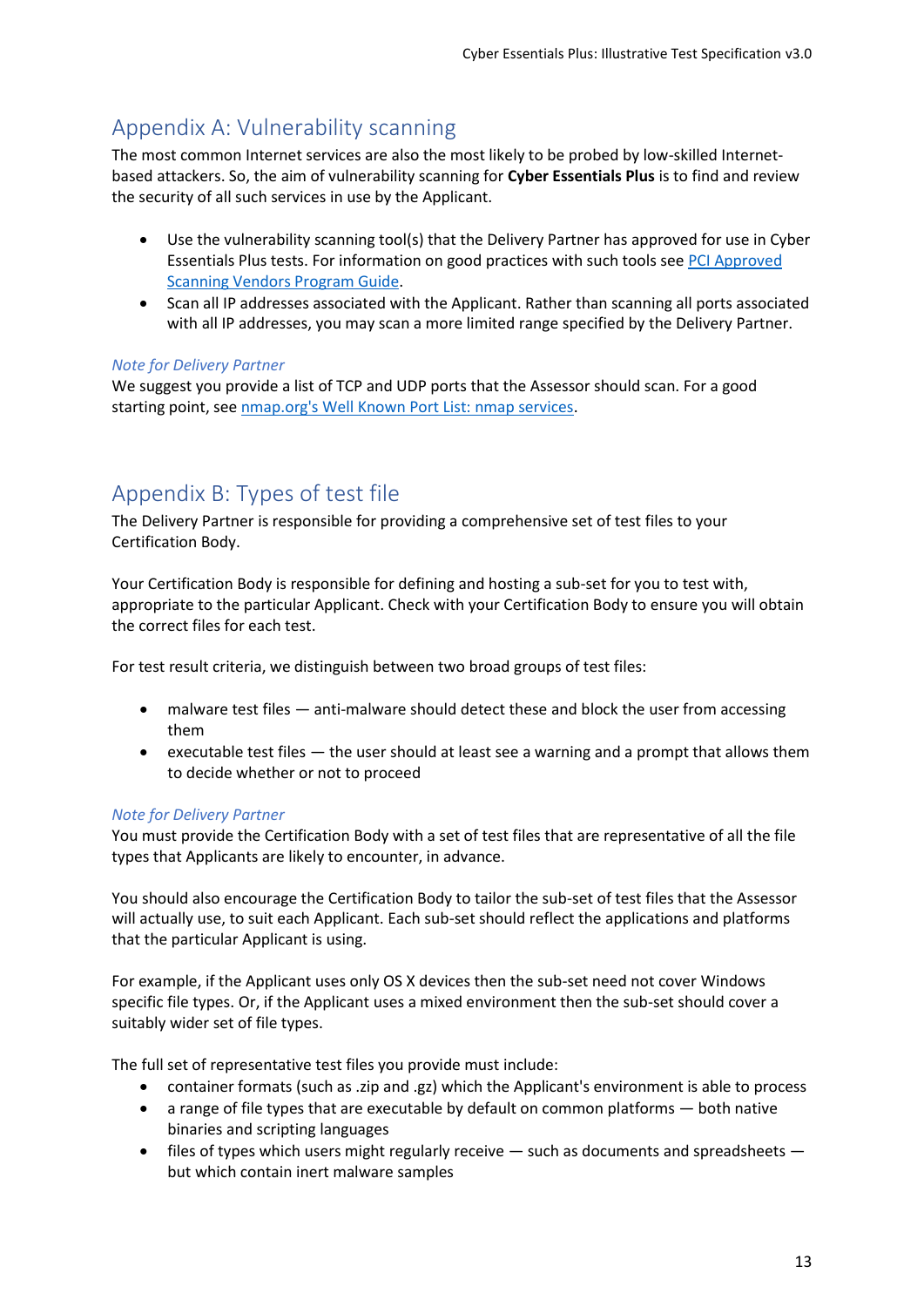# <span id="page-13-2"></span><span id="page-13-0"></span>Appendix A: Vulnerability scanning

The most common Internet services are also the most likely to be probed by low-skilled Internetbased attackers. So, the aim of vulnerability scanning for **Cyber Essentials Plus** is to find and review the security of all such services in use by the Applicant.

- Use the vulnerability scanning tool(s) that the Delivery Partner has approved for use in Cyber Essentials Plus tests. For information on good practices with such tools se[e PCI Approved](https://www.pcisecuritystandards.org/documents/ASV_Program_Guide_v3.1.pdf)  [Scanning Vendors Program Guide.](https://www.pcisecuritystandards.org/documents/ASV_Program_Guide_v3.1.pdf)
- Scan all IP addresses associated with the Applicant. Rather than scanning all ports associated with all IP addresses, you may scan a more limited range specified by the Delivery Partner.

## *Note for Delivery Partner*

We suggest you provide a list of TCP and UDP ports that the Assessor should scan. For a good starting point, see [nmap.org's Well Known Port List: nmap services.](https://nmap.org/book/nmap-services.html)

# <span id="page-13-1"></span>Appendix B: Types of test file

The Delivery Partner is responsible for providing a comprehensive set of test files to your Certification Body.

Your Certification Body is responsible for defining and hosting a sub-set for you to test with, appropriate to the particular Applicant. Check with your Certification Body to ensure you will obtain the correct files for each test.

For test result criteria, we distinguish between two broad groups of test files:

- malware test files anti-malware should detect these and block the user from accessing them
- executable test files the user should at least see a warning and a prompt that allows them to decide whether or not to proceed

## *Note for Delivery Partner*

You must provide the Certification Body with a set of test files that are representative of all the file types that Applicants are likely to encounter, in advance.

You should also encourage the Certification Body to tailor the sub-set of test files that the Assessor will actually use, to suit each Applicant. Each sub-set should reflect the applications and platforms that the particular Applicant is using.

For example, if the Applicant uses only OS X devices then the sub-set need not cover Windows specific file types. Or, if the Applicant uses a mixed environment then the sub-set should cover a suitably wider set of file types.

The full set of representative test files you provide must include:

- container formats (such as .zip and .gz) which the Applicant's environment is able to process
- a range of file types that are executable by default on common platforms both native binaries and scripting languages
- $\bullet$  files of types which users might regularly receive  $-$  such as documents and spreadsheets  $$ but which contain inert malware samples